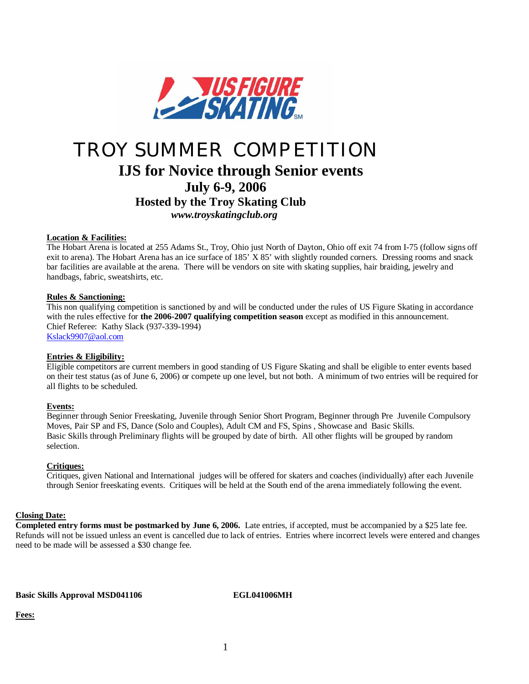

# TROY SUMMER COMPETITION **IJS for Novice through Senior events July 6-9, 2006 Hosted by the Troy Skating Club**  *[www.troyskatingclub.org](http://www.troyskatingclub.org)*

### **Location & Facilities:**

The Hobart Arena is located at 255 Adams St., Troy, Ohio just North of Dayton, Ohio off exit 74 from I-75 (follow signs off exit to arena). The Hobart Arena has an ice surface of 185' X 85' with slightly rounded corners. Dressing rooms and snack bar facilities are available at the arena. There will be vendors on site with skating supplies, hair braiding, jewelry and handbags, fabric, sweatshirts, etc.

### **Rules & Sanctioning:**

This non qualifying competition is sanctioned by and will be conducted under the rules of US Figure Skating in accordance with the rules effective for **the 2006-2007 qualifying competition season** except as modified in this announcement. Chief Referee: Kathy Slack (937-339-1994) [Kslack9907@aol.com](mailto:Kslack9907@aol.com)

### **Entries & Eligibility:**

Eligible competitors are current members in good standing of US Figure Skating and shall be eligible to enter events based on their test status (as of June 6, 2006) or compete up one level, but not both. A minimum of two entries will be required for all flights to be scheduled.

### **Events:**

Beginner through Senior Freeskating, Juvenile through Senior Short Program, Beginner through Pre Juvenile Compulsory Moves, Pair SP and FS, Dance (Solo and Couples), Adult CM and FS, Spins , Showcase and Basic Skills. Basic Skills through Preliminary flights will be grouped by date of birth. All other flights will be grouped by random selection.

### **Critiques:**

Critiques, given National and International judges will be offered for skaters and coaches (individually) after each Juvenile through Senior freeskating events. Critiques will be held at the South end of the arena immediately following the event.

### **Closing Date:**

**Completed entry forms must be postmarked by June 6, 2006.** Late entries, if accepted, must be accompanied by a \$25 late fee. Refunds will not be issued unless an event is cancelled due to lack of entries. Entries where incorrect levels were entered and changes need to be made will be assessed a \$30 change fee.

**Basic Skills Approval MSD041106 EGL041006MH**

**Fees:**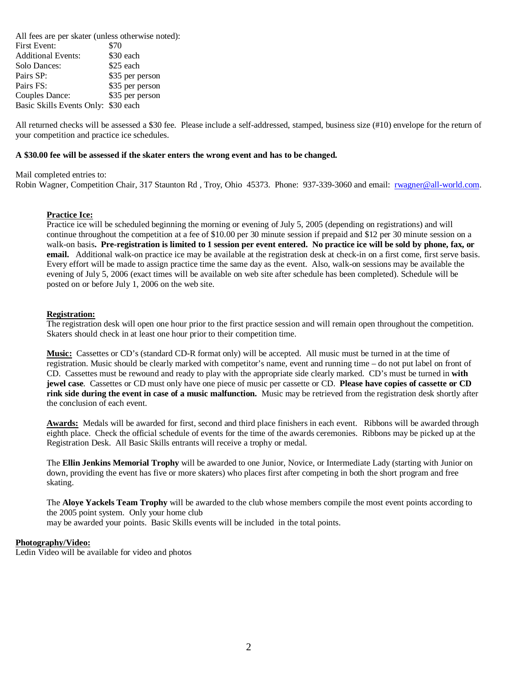All fees are per skater (unless otherwise noted): First Event: \$70 Additional Events: \$30 each Solo Dances:  $$25$  each Pairs SP: \$35 per person Pairs FS: \$35 per person Couples Dance: \$35 per person Basic Skills Events Only: \$30 each

All returned checks will be assessed a \$30 fee. Please include a self-addressed, stamped, business size (#10) envelope for the return of your competition and practice ice schedules.

### **A \$30.00 fee will be assessed if the skater enters the wrong event and has to be changed.**

Mail completed entries to:

Robin Wagner, Competition Chair, 317 Staunton Rd , Troy, Ohio 45373. Phone: 937-339-3060 and email: [rwagner@all-world.com.](mailto:rwagner@all-world.com)

### **Practice Ice:**

Practice ice will be scheduled beginning the morning or evening of July 5, 2005 (depending on registrations) and will continue throughout the competition at a fee of \$10.00 per 30 minute session if prepaid and \$12 per 30 minute session on a walk-on basis**. Pre-registration is limited to 1 session per event entered. No practice ice will be sold by phone, fax, or email.** Additional walk-on practice ice may be available at the registration desk at check-in on a first come, first serve basis. Every effort will be made to assign practice time the same day as the event. Also, walk-on sessions may be available the evening of July 5, 2006 (exact times will be available on web site after schedule has been completed). Schedule will be posted on or before July 1, 2006 on the web site.

### **Registration:**

The registration desk will open one hour prior to the first practice session and will remain open throughout the competition. Skaters should check in at least one hour prior to their competition time.

**Music:** Cassettes or CD's (standard CD-R format only) will be accepted. All music must be turned in at the time of registration. Music should be clearly marked with competitor's name, event and running time – do not put label on front of CD. Cassettes must be rewound and ready to play with the appropriate side clearly marked. CD's must be turned in **with jewel case**. Cassettes or CD must only have one piece of music per cassette or CD. **Please have copies of cassette or CD rink side during the event in case of a music malfunction.** Music may be retrieved from the registration desk shortly after the conclusion of each event.

**Awards:** Medals will be awarded for first, second and third place finishers in each event. Ribbons will be awarded through eighth place. Check the official schedule of events for the time of the awards ceremonies. Ribbons may be picked up at the Registration Desk. All Basic Skills entrants will receive a trophy or medal.

The **Ellin Jenkins Memorial Trophy** will be awarded to one Junior, Novice, or Intermediate Lady (starting with Junior on down, providing the event has five or more skaters) who places first after competing in both the short program and free skating.

The **Aloye Yackels Team Trophy** will be awarded to the club whose members compile the most event points according to the 2005 point system. Only your home club

may be awarded your points. Basic Skills events will be included in the total points.

### **Photography/Video:**

Ledin Video will be available for video and photos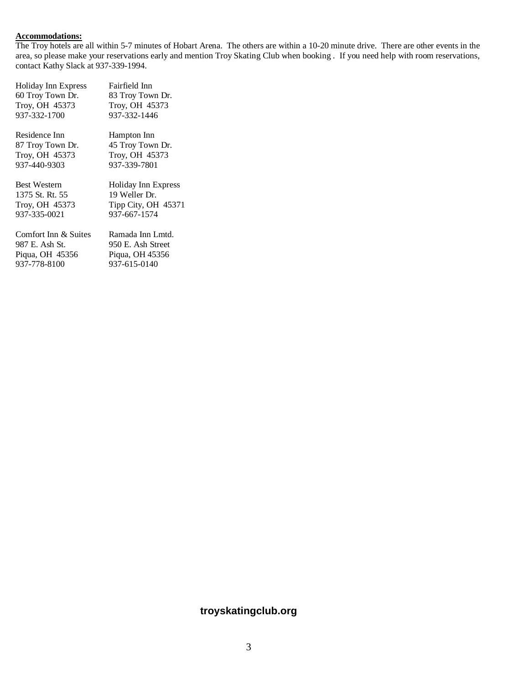### **Accommodations:**

The Troy hotels are all within 5-7 minutes of Hobart Arena. The others are within a 10-20 minute drive. There are other events in the area, so please make your reservations early and mention Troy Skating Club when booking . If you need help with room reservations, contact Kathy Slack at 937-339-1994.

| <b>Holiday Inn Express</b> | Fairfield Inn       |
|----------------------------|---------------------|
| 60 Troy Town Dr.           | 83 Troy Town Dr.    |
| Troy, OH 45373             | Troy, OH 45373      |
| 937-332-1700               | 937-332-1446        |
| Residence Inn              | Hampton Inn         |
| 87 Troy Town Dr.           | 45 Troy Town Dr.    |
| Troy, OH 45373             | Troy, OH 45373      |
| 937-440-9303               | 937-339-7801        |
|                            |                     |
| <b>Best Western</b>        | Holiday Inn Express |
| 1375 St. Rt. 55            | 19 Weller Dr.       |
| Troy, OH 45373             | Tipp City, OH 45371 |
| 937-335-0021               | 937-667-1574        |
| Comfort Inn & Suites       | Ramada Inn Lmtd.    |
| 987 E. Ash St.             | 950 E. Ash Street   |
| Piqua, OH 45356            | Piqua, OH 45356     |
| 937-778-8100               | 937-615-0140        |

## **troyskatingclub.org**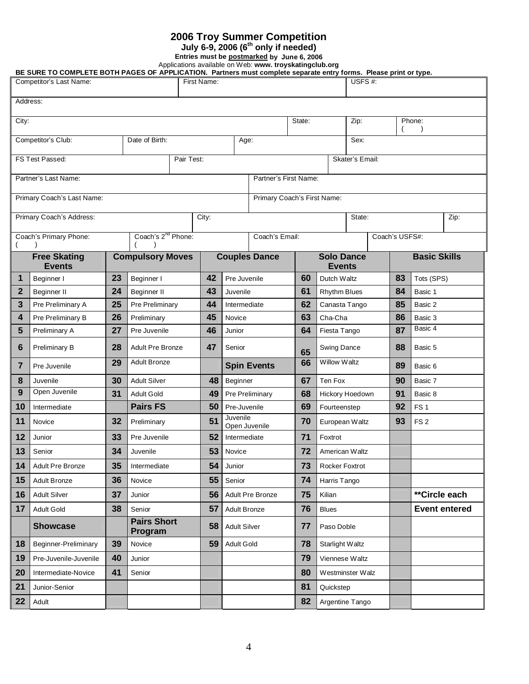## **2006 Troy Summer Competition**

**July 6-9, 2006 (6th only if needed)**

**Entries must be postmarked by June 6, 2006**

Applications available on Web: **www. troyskatingclub.org**

**BE SURE TO COMPLETE BOTH PAGES OF APPLICATION. Partners must complete separate entry forms. Please print or type.**

|              | Competitor's Last Name:                                   |    |                                |            | First Name: |                           |                       |        | USFS #:                            |                |    |                      |
|--------------|-----------------------------------------------------------|----|--------------------------------|------------|-------------|---------------------------|-----------------------|--------|------------------------------------|----------------|----|----------------------|
| Address:     |                                                           |    |                                |            |             |                           |                       |        |                                    |                |    |                      |
| City:        |                                                           |    |                                |            |             |                           |                       | State: | Zip:                               |                |    | Phone:               |
|              | Competitor's Club:                                        |    | Date of Birth:                 |            |             | Age:                      |                       |        | Sex:                               |                |    |                      |
|              | FS Test Passed:                                           |    |                                | Pair Test: |             |                           |                       |        | Skater's Email:                    |                |    |                      |
|              | Partner's Last Name:                                      |    |                                |            |             |                           | Partner's First Name: |        |                                    |                |    |                      |
|              | Primary Coach's Last Name:<br>Primary Coach's First Name: |    |                                |            |             |                           |                       |        |                                    |                |    |                      |
|              | Primary Coach's Address:                                  |    |                                |            | City:       |                           |                       |        | State:                             |                |    | Zip:                 |
|              | Coach's Primary Phone:                                    |    | Coach's 2 <sup>nd</sup> Phone: |            |             |                           | Coach's Email:        |        |                                    | Coach's USFS#: |    |                      |
|              | <b>Free Skating</b><br><b>Events</b>                      |    | <b>Compulsory Moves</b>        |            |             |                           | <b>Couples Dance</b>  |        | <b>Solo Dance</b><br><b>Events</b> |                |    | <b>Basic Skills</b>  |
| 1            | Beginner I                                                | 23 | Beginner I                     |            | 42          | Pre Juvenile              |                       | 60     | Dutch Waltz                        |                | 83 | Tots (SPS)           |
| $\mathbf{2}$ | Beginner II                                               | 24 | Beginner II                    |            | 43          | Juvenile                  |                       | 61     | <b>Rhythm Blues</b>                |                | 84 | Basic 1              |
| 3            | Pre Preliminary A                                         | 25 | Pre Preliminary                |            | 44          | Intermediate              |                       | 62     | Canasta Tango                      |                | 85 | Basic 2              |
| 4            | Pre Preliminary B                                         | 26 | Preliminary                    |            | 45          | Novice                    |                       | 63     | Cha-Cha                            |                | 86 | Basic 3              |
| 5            | Preliminary A                                             | 27 | Pre Juvenile                   |            | 46          | Junior                    |                       | 64     | Fiesta Tango                       |                | 87 | Basic 4              |
| 6            | Preliminary B                                             | 28 | <b>Adult Pre Bronze</b>        |            | 47          | Senior                    |                       | 65     | <b>Swing Dance</b>                 |                | 88 | Basic 5              |
| 7            | Pre Juvenile                                              | 29 | <b>Adult Bronze</b>            |            |             |                           | <b>Spin Events</b>    | 66     | <b>Willow Waltz</b>                |                | 89 | Basic 6              |
| 8            | Juvenile                                                  | 30 | <b>Adult Silver</b>            |            | 48          | Beginner                  |                       | 67     | Ten Fox                            |                | 90 | Basic 7              |
| 9            | Open Juvenile                                             | 31 | <b>Adult Gold</b>              |            | 49          | Pre Preliminary           |                       | 68     | Hickory Hoedown                    |                | 91 | Basic 8              |
| 10           | Intermediate                                              |    | <b>Pairs FS</b>                |            | 50          | Pre-Juvenile              |                       | 69     | Fourteenstep                       |                | 92 | FS <sub>1</sub>      |
| 11           | Novice                                                    | 32 | Preliminary                    |            | 51          | Juvenile<br>Open Juvenile |                       | 70     | European Waltz                     |                | 93 | FS <sub>2</sub>      |
| 12           | Junior                                                    | 33 | Pre Juvenile                   |            | 52          | Intermediate              |                       | 71     | Foxtrot                            |                |    |                      |
| 13           | Senior                                                    | 34 | Juvenile                       |            | 53          | Novice                    |                       | 72     | American Waltz                     |                |    |                      |
| 14           | Adult Pre Bronze                                          | 35 | Intermediate                   |            | 54          | Junior                    |                       | 73     | Rocker Foxtrot                     |                |    |                      |
| 15           | <b>Adult Bronze</b>                                       | 36 | Novice                         |            | 55          | Senior                    |                       | 74     | Harris Tango                       |                |    |                      |
| 16           | <b>Adult Silver</b>                                       | 37 | Junior                         |            | 56          |                           | Adult Pre Bronze      | 75     | Kilian                             |                |    | **Circle each        |
| 17           | <b>Adult Gold</b>                                         | 38 | Senior                         |            | 57          | <b>Adult Bronze</b>       |                       | 76     | <b>Blues</b>                       |                |    | <b>Event entered</b> |
|              | <b>Showcase</b>                                           |    | <b>Pairs Short</b><br>Program  |            | 58          | <b>Adult Silver</b>       |                       | 77     | Paso Doble                         |                |    |                      |
| 18           | Beginner-Preliminary                                      | 39 | Novice                         |            | 59          | <b>Adult Gold</b>         |                       | 78     | Starlight Waltz                    |                |    |                      |
| 19           | Pre-Juvenile-Juvenile                                     | 40 | Junior                         |            |             |                           |                       | 79     | Viennese Waltz                     |                |    |                      |
| 20           | Intermediate-Novice                                       | 41 | Senior                         |            |             |                           |                       | 80     | Westminster Walz                   |                |    |                      |
| 21           | Junior-Senior                                             |    |                                |            |             |                           |                       | 81     | Quickstep                          |                |    |                      |
| 22           | Adult                                                     |    |                                |            |             |                           |                       | 82     | Argentine Tango                    |                |    |                      |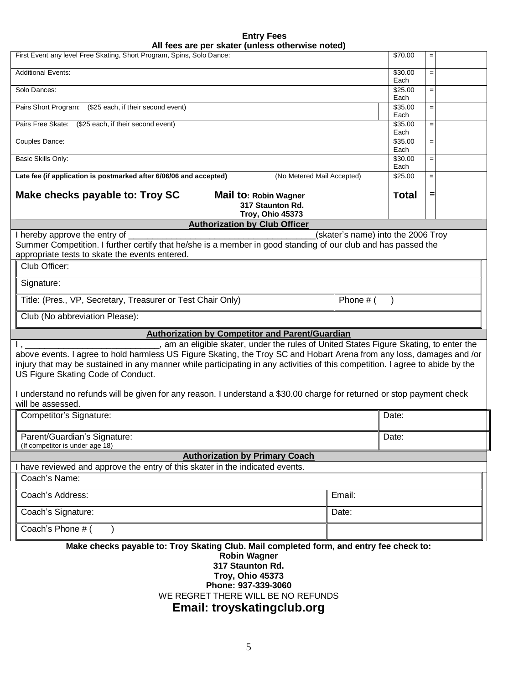|                                                  | <b>Entry Fees</b> |  |
|--------------------------------------------------|-------------------|--|
| All fees are per skater (unless otherwise noted) |                   |  |

| All lees are per skater (unless otherwise hoted)                                                                                            |                 |     |  |  |
|---------------------------------------------------------------------------------------------------------------------------------------------|-----------------|-----|--|--|
| First Event any level Free Skating, Short Program, Spins, Solo Dance:                                                                       | \$70.00         | $=$ |  |  |
| <b>Additional Events:</b>                                                                                                                   | \$30.00<br>Each | $=$ |  |  |
| Solo Dances:                                                                                                                                | \$25.00<br>Each | $=$ |  |  |
| Pairs Short Program: (\$25 each, if their second event)                                                                                     | \$35.00<br>Each | $=$ |  |  |
| Pairs Free Skate: (\$25 each, if their second event)                                                                                        | \$35.00<br>Each | $=$ |  |  |
| Couples Dance:                                                                                                                              | \$35.00         | $=$ |  |  |
| <b>Basic Skills Only:</b>                                                                                                                   | Each<br>\$30.00 | $=$ |  |  |
| Late fee (if application is postmarked after 6/06/06 and accepted)<br>(No Metered Mail Accepted)                                            | Each<br>\$25.00 | $=$ |  |  |
|                                                                                                                                             |                 |     |  |  |
| Make checks payable to: Troy SC<br>Mail to: Robin Wagner<br>317 Staunton Rd.                                                                | <b>Total</b>    | =   |  |  |
| Troy, Ohio 45373                                                                                                                            |                 |     |  |  |
| <b>Authorization by Club Officer</b>                                                                                                        |                 |     |  |  |
| I hereby approve the entry of<br>(skater's name) into the 2006 Troy                                                                         |                 |     |  |  |
| Summer Competition. I further certify that he/she is a member in good standing of our club and has passed the                               |                 |     |  |  |
| appropriate tests to skate the events entered.                                                                                              |                 |     |  |  |
| Club Officer:                                                                                                                               |                 |     |  |  |
| Signature:                                                                                                                                  |                 |     |  |  |
| Title: (Pres., VP, Secretary, Treasurer or Test Chair Only)<br>Phone # (                                                                    |                 |     |  |  |
| Club (No abbreviation Please):                                                                                                              |                 |     |  |  |
| <b>Authorization by Competitor and Parent/Guardian</b>                                                                                      |                 |     |  |  |
| am an eligible skater, under the rules of United States Figure Skating, to enter the                                                        |                 |     |  |  |
| above events. I agree to hold harmless US Figure Skating, the Troy SC and Hobart Arena from any loss, damages and /or                       |                 |     |  |  |
| injury that may be sustained in any manner while participating in any activities of this competition. I agree to abide by the               |                 |     |  |  |
| US Figure Skating Code of Conduct.                                                                                                          |                 |     |  |  |
|                                                                                                                                             |                 |     |  |  |
| I understand no refunds will be given for any reason. I understand a \$30.00 charge for returned or stop payment check<br>will be assessed. |                 |     |  |  |
| Competitor's Signature:                                                                                                                     | Date:           |     |  |  |
| Parent/Guardian's Signature:                                                                                                                | Date:           |     |  |  |
| (If competitor is under age 18)<br><b>Authorization by Primary Coach</b>                                                                    |                 |     |  |  |
| have reviewed and approve the entry of this skater in the indicated events.                                                                 |                 |     |  |  |
| Coach's Name:                                                                                                                               |                 |     |  |  |
| Coach's Address:<br>Email:                                                                                                                  |                 |     |  |  |
| Coach's Signature:<br>Date:                                                                                                                 |                 |     |  |  |
| Coach's Phone $#$ (                                                                                                                         |                 |     |  |  |
|                                                                                                                                             |                 |     |  |  |
| Make checks payable to: Troy Skating Club. Mail completed form, and entry fee check to:                                                     |                 |     |  |  |
| <b>Robin Wagner</b><br>317 Staunton Rd.                                                                                                     |                 |     |  |  |
|                                                                                                                                             |                 |     |  |  |

**Troy, Ohio 45373**

**Phone: 937-339-3060** WE REGRET THERE WILL BE NO REFUNDS

**Email: troyskatingclub.org**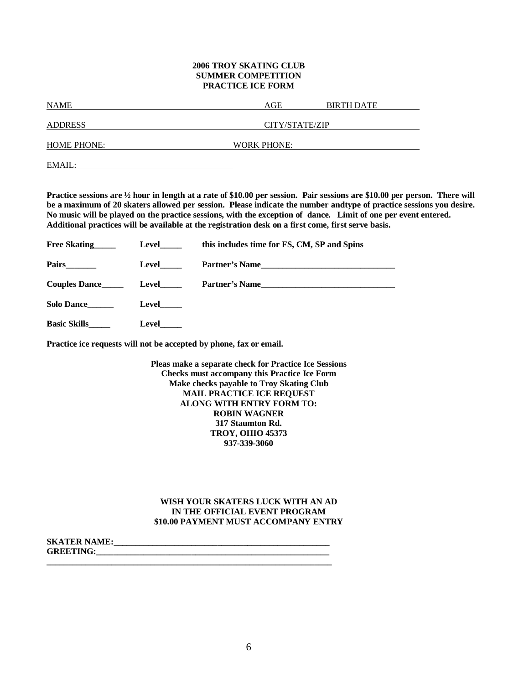### **2006 TROY SKATING CLUB SUMMER COMPETITION PRACTICE ICE FORM**

| <b>NAME</b>        | AGE                | <b>BIRTH DATE</b> |
|--------------------|--------------------|-------------------|
|                    |                    |                   |
| <b>ADDRESS</b>     | CITY/STATE/ZIP     |                   |
| <b>HOME PHONE:</b> | <b>WORK PHONE:</b> |                   |
| EMAIL:             |                    |                   |

**Practice sessions are ½ hour in length at a rate of \$10.00 per session. Pair sessions are \$10.00 per person. There will be a maximum of 20 skaters allowed per session. Please indicate the number andtype of practice sessions you desire. No music will be played on the practice sessions, with the exception of dance. Limit of one per event entered. Additional practices will be available at the registration desk on a first come, first serve basis.**

| Free Skating         | Level        | this includes time for FS, CM, SP and Spins |
|----------------------|--------------|---------------------------------------------|
|                      | Level        | Partner's Name                              |
| <b>Couples Dance</b> | Level_____   | Partner's Name                              |
| Solo Dance           | <b>Level</b> |                                             |
| <b>Basic Skills</b>  | Level        |                                             |

**Practice ice requests will not be accepted by phone, fax or email.**

**Pleas make a separate check for Practice Ice Sessions Checks must accompany this Practice Ice Form Make checks payable to Troy Skating Club MAIL PRACTICE ICE REQUEST ALONG WITH ENTRY FORM TO: ROBIN WAGNER 317 Staumton Rd. TROY, OHIO 45373 937-339-3060**

### **WISH YOUR SKATERS LUCK WITH AN AD IN THE OFFICIAL EVENT PROGRAM \$10.00 PAYMENT MUST ACCOMPANY ENTRY**

| <b>SKATER NAME:</b> |  |
|---------------------|--|
| <b>GREETING:</b>    |  |
|                     |  |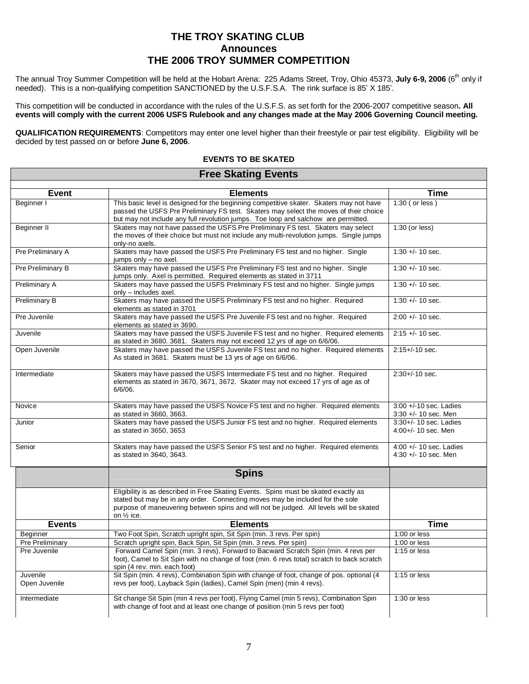## **THE TROY SKATING CLUB Announces THE 2006 TROY SUMMER COMPETITION**

The annual Troy Summer Competition will be held at the Hobart Arena: 225 Adams Street, Troy, Ohio 45373, July 6-9, 2006 (6<sup>th</sup> only if needed). This is a non-qualifying competition SANCTIONED by the U.S.F.S.A. The rink surface is 85' X 185'.

This competition will be conducted in accordance with the rules of the U.S.F.S. as set forth for the 2006-2007 competitive season**. All events will comply with the current 2006 USFS Rulebook and any changes made at the May 2006 Governing Council meeting.**

**QUALIFICATION REQUIREMENTS**: Competitors may enter one level higher than their freestyle or pair test eligibility. Eligibility will be decided by test passed on or before **June 6, 2006**.

### **EVENTS TO BE SKATED Free Skating Events**

#### **Event Elements Time** Beginner I This basic level is designed for the beginning competitive skater. Skaters may not have passed the USFS Pre Preliminary FS test. Skaters may select the moves of their choice but may not include any full revolution jumps. Toe loop and salchow are permitted. 1:30 ( or less ) Beginner II Skaters may not have passed the USFS Pre Preliminary FS test. Skaters may select the moves of their choice but must not include any multi-revolution jumps. Single jumps only-no axels. 1:30 (or less) Pre Preliminary A Skaters may have passed the USFS Pre Preliminary FS test and no higher. Single jumps only  $-$  no axel.  $1:30 + 1.10$  sec. Pre Preliminary B Skaters may have passed the USFS Pre Preliminary FS test and no higher. Single jumps only. Axel is permitted. Required elements as stated in 3711 1:30 +/- 10 sec. Preliminary A Skaters may have passed the USFS Preliminary FS test and no higher. Single jumps  $on *l*$   $-$  includes axel. 1:30 +/- 10 sec. Preliminary B Skaters may have passed the USFS Preliminary FS test and no higher. Required elements as stated in 3701 1:30 +/- 10 sec. Pre Juvenile Skaters may have passed the USFS Pre Juvenile FS test and no higher. Required elements as stated in 3690. 2:00 +/- 10 sec. Juvenile Skaters may have passed the USFS Juvenile FS test and no higher. Required elements as stated in 3680. 3681. Skaters may not exceed 12 yrs of age on 6/6/06. 2:15 +/- 10 sec. Open Juvenile Skaters may have passed the USFS Juvenile FS test and no higher. Required elements As stated in 3681. Skaters must be 13 yrs of age on 6/6/06. 2:15+/-10 sec. Intermediate Skaters may have passed the USFS Intermediate FS test and no higher. Required elements as stated in 3670, 3671, 3672. Skater may not exceed 17 yrs of age as of 6/6/06. 2:30+/-10 sec. Novice Skaters may have passed the USFS Novice FS test and no higher. Required elements as stated in 3660, 3663. 3:00 +/-10 sec. Ladies 3:30 +/- 10 sec. Men as stated in 3650, 3653

| Junior                    | Skaters may have passed the USFS Junior FS test and no higher. Required elements<br>as stated in 3650, 3653                                                                                                                                                                             | $3:30+/- 10$ sec. Ladies<br>$4:00 +/- 10$ sec. Men  |
|---------------------------|-----------------------------------------------------------------------------------------------------------------------------------------------------------------------------------------------------------------------------------------------------------------------------------------|-----------------------------------------------------|
| Senior                    | Skaters may have passed the USFS Senior FS test and no higher. Required elements<br>as stated in 3640, 3643.                                                                                                                                                                            | 4:00 $+/-$ 10 sec. Ladies<br>4:30 $+/-$ 10 sec. Men |
|                           | <b>Spins</b>                                                                                                                                                                                                                                                                            |                                                     |
|                           | Eligibility is as described in Free Skating Events. Spins must be skated exactly as<br>stated but may be in any order. Connecting moves may be included for the sole<br>purpose of maneuvering between spins and will not be judged. All levels will be skated<br>on $\frac{1}{2}$ ice. |                                                     |
|                           |                                                                                                                                                                                                                                                                                         |                                                     |
| <b>Events</b>             | <b>Elements</b>                                                                                                                                                                                                                                                                         | <b>Time</b>                                         |
| Beginner                  | Two Foot Spin, Scratch upright spin, Sit Spin (min. 3 revs. Per spin)                                                                                                                                                                                                                   | $1:00$ or less                                      |
| <b>Pre Preliminary</b>    | Scratch upright spin, Back Spin, Sit Spin (min. 3 revs. Per spin)                                                                                                                                                                                                                       | $1:00$ or less                                      |
| Pre Juvenile              | Forward Camel Spin (min. 3 revs), Forward to Bacward Scratch Spin (min. 4 revs per<br>foot), Camel to Sit Spin with no change of foot (min. 6 revs total) scratch to back scratch<br>spin (4 rev. min. each foot)                                                                       | $1:15$ or less                                      |
| Juvenile<br>Open Juvenile | Sit Spin (min. 4 revs), Combination Spin with change of foot, change of pos. optional (4<br>revs per foot), Layback Spin (ladies), Camel Spin (men) (min 4 revs).                                                                                                                       | $1:15$ or less                                      |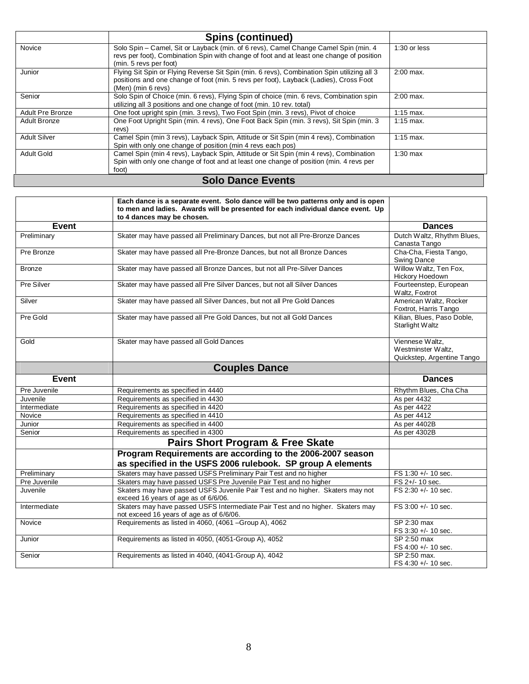|                         | <b>Spins (continued)</b>                                                                                                                                                                                  |                      |  |  |  |
|-------------------------|-----------------------------------------------------------------------------------------------------------------------------------------------------------------------------------------------------------|----------------------|--|--|--|
| Novice                  | Solo Spin – Camel, Sit or Layback (min. of 6 revs), Camel Change Camel Spin (min. 4<br>revs per foot), Combination Spin with change of foot and at least one change of position<br>(min. 5 revs per foot) | $1:30$ or less       |  |  |  |
| Junior                  | Flying Sit Spin or Flying Reverse Sit Spin (min. 6 revs), Combination Spin utilizing all 3<br>positions and one change of foot (min. 5 revs per foot), Layback (Ladies), Cross Foot<br>(Men) (min 6 revs) | $2:00$ max.          |  |  |  |
| Senior                  | Solo Spin of Choice (min. 6 revs), Flying Spin of choice (min. 6 revs, Combination spin<br>utilizing all 3 positions and one change of foot (min. 10 rev. total)                                          | $2:00$ max.          |  |  |  |
| <b>Adult Pre Bronze</b> | One foot upright spin (min. 3 revs), Two Foot Spin (min. 3 revs), Pivot of choice                                                                                                                         | $1:15$ max.          |  |  |  |
| Adult Bronze            | One Foot Upright Spin (min. 4 revs), One Foot Back Spin (min. 3 revs), Sit Spin (min. 3<br>revs)                                                                                                          | $1:15$ max.          |  |  |  |
| <b>Adult Silver</b>     | Camel Spin (min 3 revs), Layback Spin, Attitude or Sit Spin (min 4 revs), Combination<br>Spin with only one change of position (min 4 revs each pos)                                                      | $1:15 \text{ max}$ . |  |  |  |
| <b>Adult Gold</b>       | Camel Spin (min 4 revs), Layback Spin, Attitude or Sit Spin (min 4 revs), Combination<br>Spin with only one change of foot and at least one change of position (min. 4 revs per<br>foot)                  | $1:30$ max           |  |  |  |
|                         | <b>Solo Dance Events</b>                                                                                                                                                                                  |                      |  |  |  |

|                   | Each dance is a separate event. Solo dance will be two patterns only and is open<br>to men and ladies. Awards will be presented for each individual dance event. Up<br>to 4 dances may be chosen. |                                                                     |
|-------------------|---------------------------------------------------------------------------------------------------------------------------------------------------------------------------------------------------|---------------------------------------------------------------------|
| Event             |                                                                                                                                                                                                   | <b>Dances</b>                                                       |
| Preliminary       | Skater may have passed all Preliminary Dances, but not all Pre-Bronze Dances                                                                                                                      | Dutch Waltz, Rhythm Blues,                                          |
|                   |                                                                                                                                                                                                   | Canasta Tango                                                       |
| Pre Bronze        | Skater may have passed all Pre-Bronze Dances, but not all Bronze Dances                                                                                                                           | Cha-Cha, Fiesta Tango,<br><b>Swing Dance</b>                        |
| <b>Bronze</b>     | Skater may have passed all Bronze Dances, but not all Pre-Silver Dances                                                                                                                           | Willow Waltz, Ten Fox,<br>Hickory Hoedown                           |
| <b>Pre Silver</b> | Skater may have passed all Pre Silver Dances, but not all Silver Dances                                                                                                                           | Fourteenstep, European<br>Waltz, Foxtrot                            |
| Silver            | Skater may have passed all Silver Dances, but not all Pre Gold Dances                                                                                                                             | American Waltz, Rocker<br>Foxtrot, Harris Tango                     |
| Pre Gold          | Skater may have passed all Pre Gold Dances, but not all Gold Dances                                                                                                                               | Kilian, Blues, Paso Doble,<br>Starlight Waltz                       |
| Gold              | Skater may have passed all Gold Dances                                                                                                                                                            | Viennese Waltz,<br>Westminster Waltz,<br>Quickstep, Argentine Tango |
|                   | <b>Couples Dance</b>                                                                                                                                                                              |                                                                     |
| Event             |                                                                                                                                                                                                   | <b>Dances</b>                                                       |
| Pre Juvenile      | Requirements as specified in 4440                                                                                                                                                                 | Rhythm Blues, Cha Cha                                               |
| Juvenile          | Requirements as specified in 4430                                                                                                                                                                 | As per 4432                                                         |
| Intermediate      | Requirements as specified in 4420                                                                                                                                                                 | As per 4422                                                         |
| Novice            |                                                                                                                                                                                                   |                                                                     |
|                   | Requirements as specified in 4410                                                                                                                                                                 | As per 4412                                                         |
| Junior            | Requirements as specified in 4400                                                                                                                                                                 | As per 4402B                                                        |
| Senior            |                                                                                                                                                                                                   | As per 4302B                                                        |
|                   | Requirements as specified in 4300<br><b>Pairs Short Program &amp; Free Skate</b>                                                                                                                  |                                                                     |
|                   | Program Requirements are according to the 2006-2007 season<br>as specified in the USFS 2006 rulebook. SP group A elements                                                                         |                                                                     |
| Preliminary       | Skaters may have passed USFS Preliminary Pair Test and no higher                                                                                                                                  | FS 1:30 +/- 10 sec.                                                 |
| Pre Juvenile      |                                                                                                                                                                                                   |                                                                     |
| Juvenile          | Skaters may have passed USFS Pre Juvenile Pair Test and no higher<br>Skaters may have passed USFS Juvenile Pair Test and no higher. Skaters may not                                               | FS 2+/- 10 sec.<br>FS 2:30 +/- 10 sec.                              |
|                   | exceed 16 years of age as of 6/6/06.                                                                                                                                                              |                                                                     |
| Intermediate      | Skaters may have passed USFS Intermediate Pair Test and no higher. Skaters may<br>not exceed 16 years of age as of 6/6/06.                                                                        | FS 3:00 +/- 10 sec.                                                 |
| Novice            | Requirements as listed in 4060, (4061 -Group A), 4062                                                                                                                                             | SP 2:30 max                                                         |
|                   |                                                                                                                                                                                                   | FS 3:30 +/- 10 sec.                                                 |
| Junior            | Requirements as listed in 4050, (4051-Group A), 4052                                                                                                                                              | SP 2:50 max                                                         |
|                   | Requirements as listed in 4040, (4041-Group A), 4042                                                                                                                                              | FS 4:00 +/- 10 sec.                                                 |

FS 4:30 +/- 10 sec.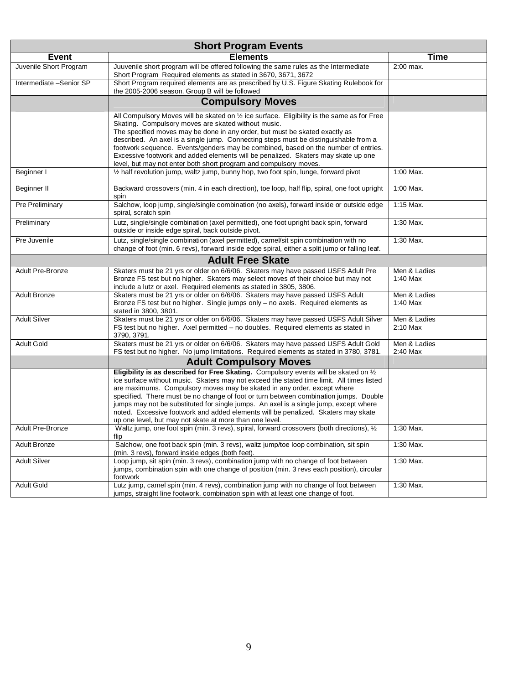| <b>Short Program Events</b> |                                                                                                                                                                                                                                                                                                                                                                                                                                                                                                                                                                                                |                            |  |  |  |
|-----------------------------|------------------------------------------------------------------------------------------------------------------------------------------------------------------------------------------------------------------------------------------------------------------------------------------------------------------------------------------------------------------------------------------------------------------------------------------------------------------------------------------------------------------------------------------------------------------------------------------------|----------------------------|--|--|--|
| <b>Event</b>                | <b>Elements</b>                                                                                                                                                                                                                                                                                                                                                                                                                                                                                                                                                                                | <b>Time</b>                |  |  |  |
| Juvenile Short Program      | Juuvenile short program will be offered following the same rules as the Intermediate<br>Short Program Required elements as stated in 3670, 3671, 3672                                                                                                                                                                                                                                                                                                                                                                                                                                          | 2:00 max.                  |  |  |  |
| Intermediate -Senior SP     | Short Program required elements are as prescribed by U.S. Figure Skating Rulebook for<br>the 2005-2006 season. Group B will be followed                                                                                                                                                                                                                                                                                                                                                                                                                                                        |                            |  |  |  |
|                             | <b>Compulsory Moves</b>                                                                                                                                                                                                                                                                                                                                                                                                                                                                                                                                                                        |                            |  |  |  |
|                             | All Compulsory Moves will be skated on $\frac{1}{2}$ ice surface. Eligibility is the same as for Free<br>Skating. Compulsory moves are skated without music.<br>The specified moves may be done in any order, but must be skated exactly as<br>described. An axel is a single jump. Connecting steps must be distinguishable from a<br>footwork sequence. Events/genders may be combined, based on the number of entries.<br>Excessive footwork and added elements will be penalized. Skaters may skate up one<br>level, but may not enter both short program and compulsory moves.            |                            |  |  |  |
| Beginner I                  | 1/2 half revolution jump, waltz jump, bunny hop, two foot spin, lunge, forward pivot                                                                                                                                                                                                                                                                                                                                                                                                                                                                                                           | 1:00 Max.                  |  |  |  |
| Beginner II                 | Backward crossovers (min. 4 in each direction), toe loop, half flip, spiral, one foot upright<br>spin                                                                                                                                                                                                                                                                                                                                                                                                                                                                                          | 1:00 Max.                  |  |  |  |
| Pre Preliminary             | Salchow, loop jump, single/single combination (no axels), forward inside or outside edge<br>spiral, scratch spin                                                                                                                                                                                                                                                                                                                                                                                                                                                                               | 1:15 Max.                  |  |  |  |
| Preliminary                 | Lutz, single/single combination (axel permitted), one foot upright back spin, forward<br>outside or inside edge spiral, back outside pivot.                                                                                                                                                                                                                                                                                                                                                                                                                                                    | 1:30 Max.                  |  |  |  |
| Pre Juvenile                | Lutz, single/single combination (axel permitted), camel/sit spin combination with no<br>change of foot (min. 6 revs), forward inside edge spiral, either a split jump or falling leaf.                                                                                                                                                                                                                                                                                                                                                                                                         | 1:30 Max.                  |  |  |  |
|                             | <b>Adult Free Skate</b>                                                                                                                                                                                                                                                                                                                                                                                                                                                                                                                                                                        |                            |  |  |  |
| Adult Pre-Bronze            | Skaters must be 21 yrs or older on 6/6/06. Skaters may have passed USFS Adult Pre<br>Bronze FS test but no higher. Skaters may select moves of their choice but may not<br>include a lutz or axel. Required elements as stated in 3805, 3806.                                                                                                                                                                                                                                                                                                                                                  | Men & Ladies<br>$1:40$ Max |  |  |  |
| <b>Adult Bronze</b>         | Skaters must be 21 yrs or older on 6/6/06. Skaters may have passed USFS Adult<br>Bronze FS test but no higher. Single jumps only - no axels. Required elements as<br>stated in 3800, 3801.                                                                                                                                                                                                                                                                                                                                                                                                     | Men & Ladies<br>1:40 Max   |  |  |  |
| <b>Adult Silver</b>         | Skaters must be 21 yrs or older on 6/6/06. Skaters may have passed USFS Adult Silver<br>FS test but no higher. Axel permitted - no doubles. Required elements as stated in<br>3790, 3791.                                                                                                                                                                                                                                                                                                                                                                                                      | Men & Ladies<br>2:10 Max   |  |  |  |
| <b>Adult Gold</b>           | Skaters must be 21 yrs or older on 6/6/06. Skaters may have passed USFS Adult Gold<br>FS test but no higher. No jump limitations. Required elements as stated in 3780, 3781.                                                                                                                                                                                                                                                                                                                                                                                                                   | Men & Ladies<br>2:40 Max   |  |  |  |
|                             | <b>Adult Compulsory Moves</b>                                                                                                                                                                                                                                                                                                                                                                                                                                                                                                                                                                  |                            |  |  |  |
|                             | Eligibility is as described for Free Skating. Compulsory events will be skated on 1/2<br>ice surface without music. Skaters may not exceed the stated time limit. All times listed<br>are maximums. Compulsory moves may be skated in any order, except where<br>specified. There must be no change of foot or turn between combination jumps. Double<br>jumps may not be substituted for single jumps. An axel is a single jump, except where<br>noted. Excessive footwork and added elements will be penalized. Skaters may skate<br>up one level, but may not skate at more than one level. |                            |  |  |  |
| Adult Pre-Bronze            | Waltz jump, one foot spin (min. 3 revs), spiral, forward crossovers (both directions), $\frac{1}{2}$<br>flip                                                                                                                                                                                                                                                                                                                                                                                                                                                                                   | 1:30 Max.                  |  |  |  |
| <b>Adult Bronze</b>         | Salchow, one foot back spin (min. 3 revs), waltz jump/toe loop combination, sit spin<br>(min. 3 revs), forward inside edges (both feet).                                                                                                                                                                                                                                                                                                                                                                                                                                                       | 1:30 Max.                  |  |  |  |
| <b>Adult Silver</b>         | Loop jump, sit spin (min. 3 revs), combination jump with no change of foot between<br>jumps, combination spin with one change of position (min. 3 revs each position), circular<br>footwork                                                                                                                                                                                                                                                                                                                                                                                                    | 1:30 Max.                  |  |  |  |
| <b>Adult Gold</b>           | Lutz jump, camel spin (min. 4 revs), combination jump with no change of foot between<br>jumps, straight line footwork, combination spin with at least one change of foot.                                                                                                                                                                                                                                                                                                                                                                                                                      | 1:30 Max.                  |  |  |  |